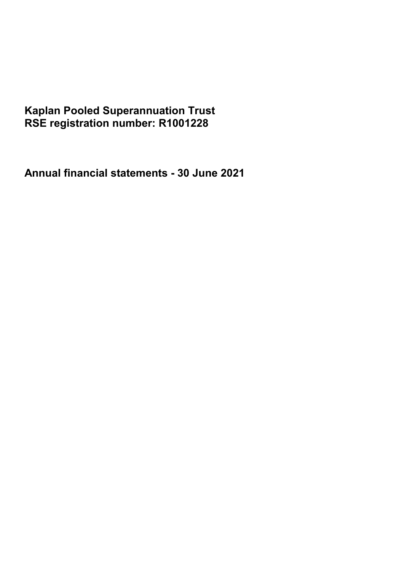# **Kaplan Pooled Superannuation Trust RSE registration number: R1001228**

**Annual financial statements - 30 June 2021**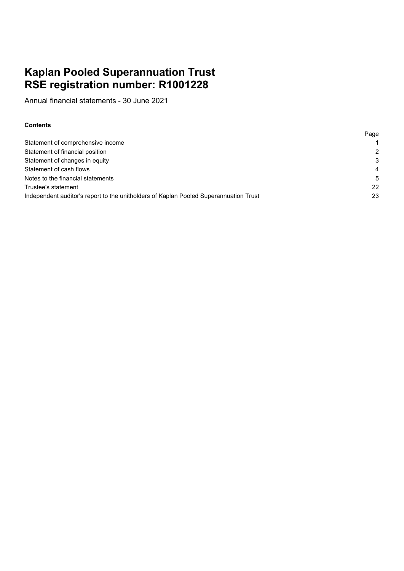# **Kaplan Pooled Superannuation Trust RSE registration number: R1001228**

Annual financial statements - 30 June 2021

### **Contents**

|                                                                                       | Page           |
|---------------------------------------------------------------------------------------|----------------|
| Statement of comprehensive income                                                     |                |
| Statement of financial position                                                       | $\mathcal{P}$  |
| Statement of changes in equity                                                        | 3              |
| Statement of cash flows                                                               | $\overline{4}$ |
| Notes to the financial statements                                                     | .5             |
| Trustee's statement                                                                   | 22             |
| Independent auditor's report to the unitholders of Kaplan Pooled Superannuation Trust | 23             |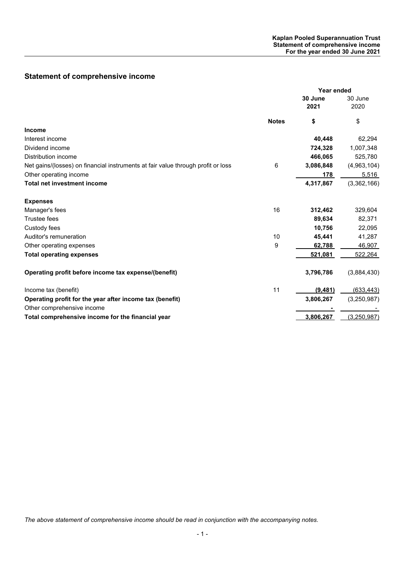# **Statement of comprehensive income**

|                                                                                  |              | Year ended      |                 |
|----------------------------------------------------------------------------------|--------------|-----------------|-----------------|
|                                                                                  |              | 30 June<br>2021 | 30 June<br>2020 |
|                                                                                  | <b>Notes</b> | \$              | \$              |
| <b>Income</b>                                                                    |              |                 |                 |
| Interest income                                                                  |              | 40,448          | 62,294          |
| Dividend income                                                                  |              | 724,328         | 1,007,348       |
| <b>Distribution income</b>                                                       |              | 466,065         | 525,780         |
| Net gains/(losses) on financial instruments at fair value through profit or loss | 6            | 3,086,848       | (4,963,104)     |
| Other operating income                                                           |              | 178             | 5,516           |
| <b>Total net investment income</b>                                               |              | 4,317,867       | (3,362,166)     |
| <b>Expenses</b>                                                                  |              |                 |                 |
| Manager's fees                                                                   | 16           | 312,462         | 329,604         |
| Trustee fees                                                                     |              | 89,634          | 82,371          |
| Custody fees                                                                     |              | 10,756          | 22,095          |
| Auditor's remuneration                                                           | 10           | 45,441          | 41,287          |
| Other operating expenses                                                         | 9            | 62,788          | 46,907          |
| <b>Total operating expenses</b>                                                  |              | 521,081         | 522,264         |
| Operating profit before income tax expense/(benefit)                             |              | 3,796,786       | (3,884,430)     |
| Income tax (benefit)                                                             | 11           | (9, 481)        | (633, 443)      |
| Operating profit for the year after income tax (benefit)                         |              | 3,806,267       | (3,250,987)     |
| Other comprehensive income                                                       |              |                 |                 |
| Total comprehensive income for the financial year                                |              | 3,806,267       | (3,250,987)     |

*The above statement of comprehensive income should be read in conjunction with the accompanying notes.*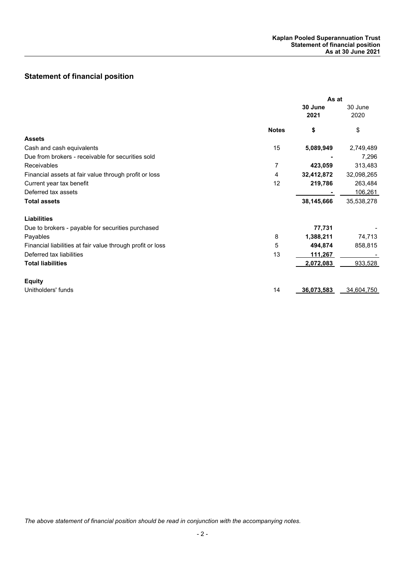# **Statement of financial position**

|                                                            | As at        |                 |                 |
|------------------------------------------------------------|--------------|-----------------|-----------------|
|                                                            |              | 30 June<br>2021 | 30 June<br>2020 |
|                                                            | <b>Notes</b> | \$              | \$              |
| <b>Assets</b>                                              |              |                 |                 |
| Cash and cash equivalents                                  | 15           | 5,089,949       | 2,749,489       |
| Due from brokers - receivable for securities sold          |              |                 | 7,296           |
| Receivables                                                | 7            | 423,059         | 313,483         |
| Financial assets at fair value through profit or loss      | 4            | 32,412,872      | 32,098,265      |
| Current year tax benefit                                   | 12           | 219,786         | 263,484         |
| Deferred tax assets                                        |              |                 | 106,261         |
| <b>Total assets</b>                                        |              | 38,145,666      | 35,538,278      |
| <b>Liabilities</b>                                         |              |                 |                 |
| Due to brokers - payable for securities purchased          |              | 77,731          |                 |
| Payables                                                   | 8            | 1,388,211       | 74,713          |
| Financial liabilities at fair value through profit or loss | 5            | 494,874         | 858,815         |
| Deferred tax liabilities                                   | 13           | 111,267         |                 |
| <b>Total liabilities</b>                                   |              | 2,072,083       | 933,528         |
| <b>Equity</b>                                              |              |                 |                 |
| Unitholders' funds                                         | 14           | 36,073,583      | 34,604,750      |

*The above statement of financial position should be read in conjunction with the accompanying notes.*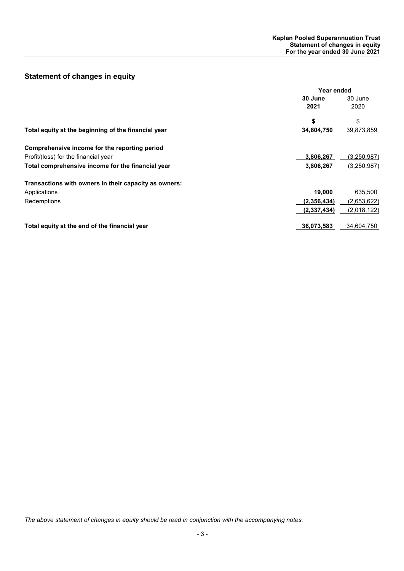# **Statement of changes in equity**

|                                                       | Year ended  |             |
|-------------------------------------------------------|-------------|-------------|
|                                                       | 30 June     | 30 June     |
|                                                       | 2021        | 2020        |
|                                                       | \$          | \$          |
| Total equity at the beginning of the financial year   | 34,604,750  | 39,873,859  |
| Comprehensive income for the reporting period         |             |             |
| Profit/(loss) for the financial year                  | 3,806,267   | (3,250,987) |
| Total comprehensive income for the financial year     | 3,806,267   | (3,250,987) |
| Transactions with owners in their capacity as owners: |             |             |
| Applications                                          | 19,000      | 635,500     |
| Redemptions                                           | (2,356,434) | (2,653,622) |
|                                                       | (2,337,434) | (2,018,122) |
| Total equity at the end of the financial year         | 36,073,583  | 34,604,750  |

*The above statement of changes in equity should be read in conjunction with the accompanying notes.*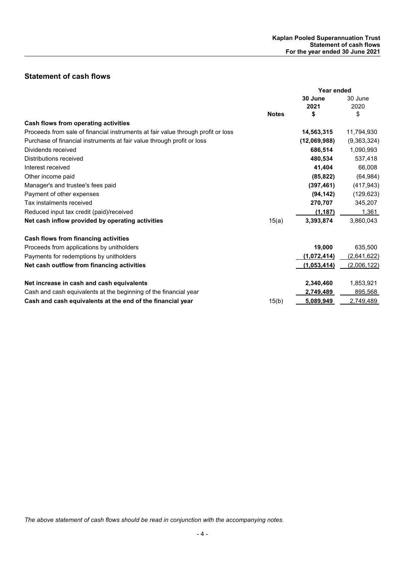# **Statement of cash flows**

|                                                                                  | Year ended   |              |             |
|----------------------------------------------------------------------------------|--------------|--------------|-------------|
|                                                                                  |              | 30 June      | 30 June     |
|                                                                                  |              | 2021         | 2020        |
|                                                                                  | <b>Notes</b> | \$           | \$          |
| Cash flows from operating activities                                             |              |              |             |
| Proceeds from sale of financial instruments at fair value through profit or loss |              | 14,563,315   | 11,794,930  |
| Purchase of financial instruments at fair value through profit or loss           |              | (12,069,988) | (9,363,324) |
| Dividends received                                                               |              | 686,514      | 1,090,993   |
| Distributions received                                                           |              | 480,534      | 537,418     |
| Interest received                                                                |              | 41,404       | 66,008      |
| Other income paid                                                                |              | (85, 822)    | (64, 984)   |
| Manager's and trustee's fees paid                                                |              | (397, 461)   | (417, 943)  |
| Payment of other expenses                                                        |              | (94, 142)    | (129, 623)  |
| Tax instalments received                                                         |              | 270,707      | 345,207     |
| Reduced input tax credit (paid)/received                                         |              | (1, 187)     | 1,361       |
| Net cash inflow provided by operating activities                                 | 15(a)        | 3,393,874    | 3,860,043   |
| Cash flows from financing activities                                             |              |              |             |
| Proceeds from applications by unitholders                                        |              | 19,000       | 635,500     |
| Payments for redemptions by unitholders                                          |              | (1,072,414)  | (2,641,622) |
| Net cash outflow from financing activities                                       |              | (1,053,414)  | (2,006,122) |
| Net increase in cash and cash equivalents                                        |              | 2,340,460    | 1,853,921   |
| Cash and cash equivalents at the beginning of the financial year                 |              | 2,749,489    | 895,568     |
| Cash and cash equivalents at the end of the financial year                       | 15(b)        | 5.089.949    | 2.749.489   |

*The above statement of cash flows should be read in conjunction with the accompanying notes.*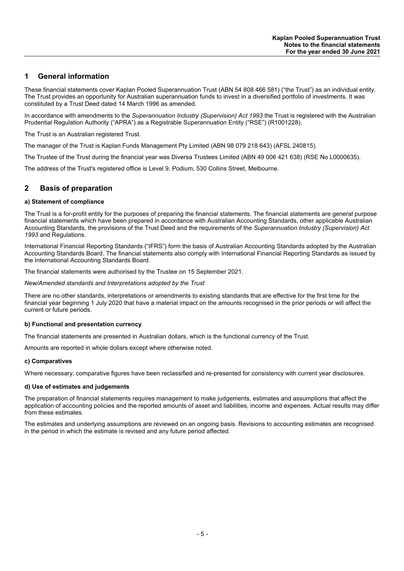## **1 General information**

These financial statements cover Kaplan Pooled Superannuation Trust (ABN 54 808 466 581) ("the Trust") as an individual entity. The Trust provides an opportunity for Australian superannuation funds to invest in a diversified portfolio of investments. It was constituted by a Trust Deed dated 14 March 1996 as amended.

In accordance with amendments to the *Superannuation Industry (Supervision) Act 1993* the Trust is registered with the Australian Prudential Regulation Authority ("APRA") as a Registrable Superannuation Entity ("RSE") (R1001228).

The Trust is an Australian registered Trust.

The manager of the Trust is Kaplan Funds Management Pty Limited (ABN 98 079 218 643) (AFSL 240815).

The Trustee of the Trust during the financial year was Diversa Trustees Limited (ABN 49 006 421 638) (RSE No L0000635).

The address of the Trust's registered office is Level 9, Podium, 530 Collins Street, Melbourne.

### **2 Basis of preparation**

#### **a) Statement of compliance**

The Trust is a for-profit entity for the purposes of preparing the financial statements. The financial statements are general purpose financial statements which have been prepared in accordance with Australian Accounting Standards, other applicable Australian Accounting Standards, the provisions of the Trust Deed and the requirements of the *Superannuation Industry (Supervision) Act 1993* and Regulations.

International Financial Reporting Standards ("IFRS") form the basis of Australian Accounting Standards adopted by the Australian Accounting Standards Board. The financial statements also comply with International Financial Reporting Standards as issued by the International Accounting Standards Board.

The financial statements were authorised by the Trustee on 15 September 2021.

*New/Amended standards and Interpretations adopted by the Trust*

There are no other standards, interpretations or amendments to existing standards that are effective for the first time for the financial year beginning 1 July 2020 that have a material impact on the amounts recognised in the prior periods or will affect the current or future periods.

#### **b) Functional and presentation currency**

The financial statements are presented in Australian dollars, which is the functional currency of the Trust.

Amounts are reported in whole dollars except where otherwise noted.

#### **c) Comparatives**

Where necessary, comparative figures have been reclassified and re-presented for consistency with current year disclosures.

#### **d) Use of estimates and judgements**

The preparation of financial statements requires management to make judgements, estimates and assumptions that affect the application of accounting policies and the reported amounts of asset and liabilities, income and expenses. Actual results may differ from these estimates.

The estimates and underlying assumptions are reviewed on an ongoing basis. Revisions to accounting estimates are recognised in the period in which the estimate is revised and any future period affected.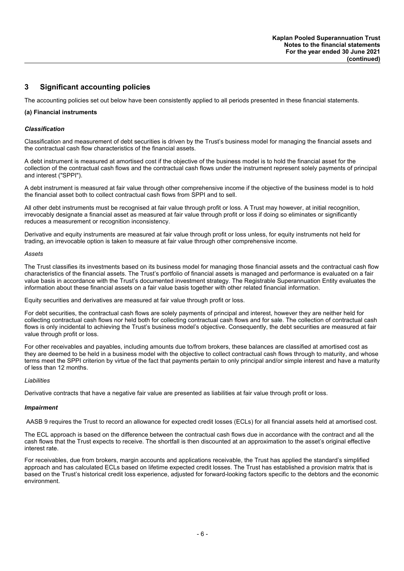### **3 Significant accounting policies**

The accounting policies set out below have been consistently applied to all periods presented in these financial statements.

#### **(a) Financial instruments**

#### *Classification*

Classification and measurement of debt securities is driven by the Trust's business model for managing the financial assets and the contractual cash flow characteristics of the financial assets.

A debt instrument is measured at amortised cost if the objective of the business model is to hold the financial asset for the collection of the contractual cash flows and the contractual cash flows under the instrument represent solely payments of principal and interest ("SPPI").

A debt instrument is measured at fair value through other comprehensive income if the objective of the business model is to hold the financial asset both to collect contractual cash flows from SPPI and to sell.

All other debt instruments must be recognised at fair value through profit or loss. A Trust may however, at initial recognition, irrevocably designate a financial asset as measured at fair value through profit or loss if doing so eliminates or significantly reduces a measurement or recognition inconsistency.

Derivative and equity instruments are measured at fair value through profit or loss unless, for equity instruments not held for trading, an irrevocable option is taken to measure at fair value through other comprehensive income.

#### *Assets*

The Trust classifies its investments based on its business model for managing those financial assets and the contractual cash flow characteristics of the financial assets. The Trust's portfolio of financial assets is managed and performance is evaluated on a fair value basis in accordance with the Trust's documented investment strategy. The Registrable Superannuation Entity evaluates the information about these financial assets on a fair value basis together with other related financial information.

Equity securities and derivatives are measured at fair value through profit or loss.

For debt securities, the contractual cash flows are solely payments of principal and interest, however they are neither held for collecting contractual cash flows nor held both for collecting contractual cash flows and for sale. The collection of contractual cash flows is only incidental to achieving the Trust's business model's objective. Consequently, the debt securities are measured at fair value through profit or loss.

For other receivables and payables, including amounts due to/from brokers, these balances are classified at amortised cost as they are deemed to be held in a business model with the objective to collect contractual cash flows through to maturity, and whose terms meet the SPPI criterion by virtue of the fact that payments pertain to only principal and/or simple interest and have a maturity of less than 12 months.

#### *Liabilities*

Derivative contracts that have a negative fair value are presented as liabilities at fair value through profit or loss.

#### *Impairment*

AASB 9 requires the Trust to record an allowance for expected credit losses (ECLs) for all financial assets held at amortised cost.

The ECL approach is based on the difference between the contractual cash flows due in accordance with the contract and all the cash flows that the Trust expects to receive. The shortfall is then discounted at an approximation to the asset's original effective interest rate.

For receivables, due from brokers, margin accounts and applications receivable, the Trust has applied the standard's simplified approach and has calculated ECLs based on lifetime expected credit losses. The Trust has established a provision matrix that is based on the Trust's historical credit loss experience, adjusted for forward-looking factors specific to the debtors and the economic environment.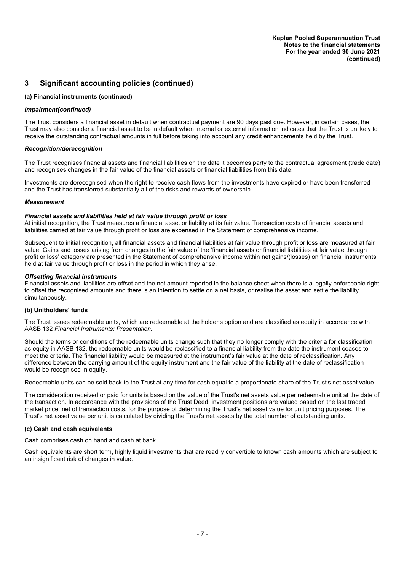# **3 Significant accounting policies (continued)**

#### **(a) Financial instruments (continued)**

#### *Impairment(continued)*

The Trust considers a financial asset in default when contractual payment are 90 days past due. However, in certain cases, the Trust may also consider a financial asset to be in default when internal or external information indicates that the Trust is unlikely to receive the outstanding contractual amounts in full before taking into account any credit enhancements held by the Trust.

#### *Recognition/derecognition*

The Trust recognises financial assets and financial liabilities on the date it becomes party to the contractual agreement (trade date) and recognises changes in the fair value of the financial assets or financial liabilities from this date.

Investments are derecognised when the right to receive cash flows from the investments have expired or have been transferred and the Trust has transferred substantially all of the risks and rewards of ownership.

#### *Measurement*

#### *Financial assets and liabilities held at fair value through profit or loss*

At initial recognition, the Trust measures a financial asset or liability at its fair value. Transaction costs of financial assets and liabilities carried at fair value through profit or loss are expensed in the Statement of comprehensive income.

Subsequent to initial recognition, all financial assets and financial liabilities at fair value through profit or loss are measured at fair value. Gains and losses arising from changes in the fair value of the 'financial assets or financial liabilities at fair value through profit or loss' category are presented in the Statement of comprehensive income within net gains/(losses) on financial instruments held at fair value through profit or loss in the period in which they arise.

#### *Offsetting financial instruments*

Financial assets and liabilities are offset and the net amount reported in the balance sheet when there is a legally enforceable right to offset the recognised amounts and there is an intention to settle on a net basis, or realise the asset and settle the liability simultaneously.

#### **(b) Unitholders' funds**

The Trust issues redeemable units, which are redeemable at the holder's option and are classified as equity in accordance with AASB 132 *Financial Instruments: Presentation.*

Should the terms or conditions of the redeemable units change such that they no longer comply with the criteria for classification as equity in AASB 132, the redeemable units would be reclassified to a financial liability from the date the instrument ceases to meet the criteria. The financial liability would be measured at the instrument's fair value at the date of reclassification. Any difference between the carrying amount of the equity instrument and the fair value of the liability at the date of reclassification would be recognised in equity.

Redeemable units can be sold back to the Trust at any time for cash equal to a proportionate share of the Trust's net asset value.

The consideration received or paid for units is based on the value of the Trust's net assets value per redeemable unit at the date of the transaction. In accordance with the provisions of the Trust Deed, investment positions are valued based on the last traded market price, net of transaction costs, for the purpose of determining the Trust's net asset value for unit pricing purposes. The Trust's net asset value per unit is calculated by dividing the Trust's net assets by the total number of outstanding units.

#### **(c) Cash and cash equivalents**

Cash comprises cash on hand and cash at bank.

Cash equivalents are short term, highly liquid investments that are readily convertible to known cash amounts which are subject to an insignificant risk of changes in value.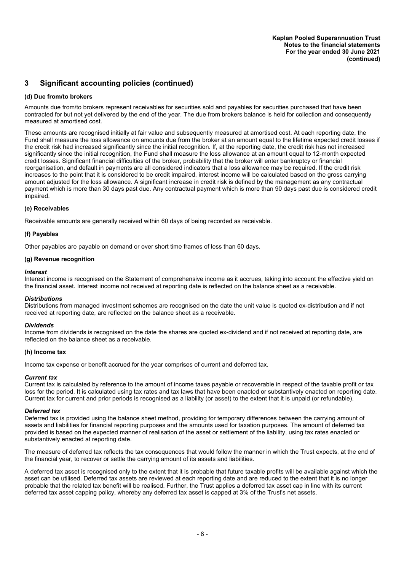# **3 Significant accounting policies (continued)**

#### **(d) Due from/to brokers**

Amounts due from/to brokers represent receivables for securities sold and payables for securities purchased that have been contracted for but not yet delivered by the end of the year. The due from brokers balance is held for collection and consequently measured at amortised cost.

These amounts are recognised initially at fair value and subsequently measured at amortised cost. At each reporting date, the Fund shall measure the loss allowance on amounts due from the broker at an amount equal to the lifetime expected credit losses if the credit risk had increased significantly since the initial recognition. If, at the reporting date, the credit risk has not increased significantly since the initial recognition, the Fund shall measure the loss allowance at an amount equal to 12-month expected credit losses. Significant financial difficulties of the broker, probability that the broker will enter bankruptcy or financial reorganisation, and default in payments are all considered indicators that a loss allowance may be required. If the credit risk increases to the point that it is considered to be credit impaired, interest income will be calculated based on the gross carrying amount adjusted for the loss allowance. A significant increase in credit risk is defined by the management as any contractual payment which is more than 30 days past due. Any contractual payment which is more than 90 days past due is considered credit impaired.

#### **(e) Receivables**

Receivable amounts are generally received within 60 days of being recorded as receivable.

#### **(f) Payables**

Other payables are payable on demand or over short time frames of less than 60 days.

#### **(g) Revenue recognition**

#### *Interest*

Interest income is recognised on the Statement of comprehensive income as it accrues, taking into account the effective yield on the financial asset. Interest income not received at reporting date is reflected on the balance sheet as a receivable.

#### *Distributions*

Distributions from managed investment schemes are recognised on the date the unit value is quoted ex-distribution and if not received at reporting date, are reflected on the balance sheet as a receivable.

#### *Dividends*

Income from dividends is recognised on the date the shares are quoted ex-dividend and if not received at reporting date, are reflected on the balance sheet as a receivable.

#### **(h) Income tax**

Income tax expense or benefit accrued for the year comprises of current and deferred tax.

#### *Current tax*

Current tax is calculated by reference to the amount of income taxes payable or recoverable in respect of the taxable profit or tax loss for the period. It is calculated using tax rates and tax laws that have been enacted or substantively enacted on reporting date. Current tax for current and prior periods is recognised as a liability (or asset) to the extent that it is unpaid (or refundable).

#### *Deferred tax*

Deferred tax is provided using the balance sheet method, providing for temporary differences between the carrying amount of assets and liabilities for financial reporting purposes and the amounts used for taxation purposes. The amount of deferred tax provided is based on the expected manner of realisation of the asset or settlement of the liability, using tax rates enacted or substantively enacted at reporting date.

The measure of deferred tax reflects the tax consequences that would follow the manner in which the Trust expects, at the end of the financial year, to recover or settle the carrying amount of its assets and liabilities.

A deferred tax asset is recognised only to the extent that it is probable that future taxable profits will be available against which the asset can be utilised. Deferred tax assets are reviewed at each reporting date and are reduced to the extent that it is no longer probable that the related tax benefit will be realised. Further, the Trust applies a deferred tax asset cap in line with its current deferred tax asset capping policy, whereby any deferred tax asset is capped at 3% of the Trust's net assets.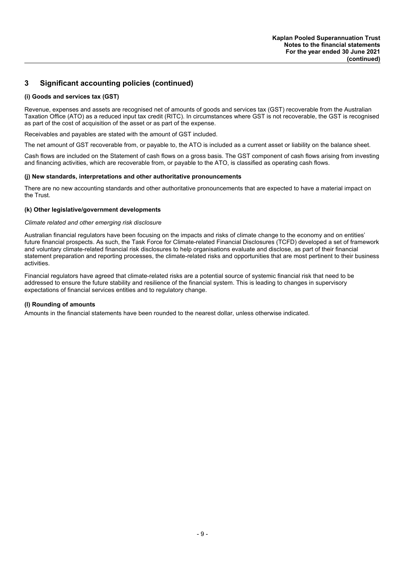# **3 Significant accounting policies (continued)**

#### **(i) Goods and services tax (GST)**

Revenue, expenses and assets are recognised net of amounts of goods and services tax (GST) recoverable from the Australian Taxation Office (ATO) as a reduced input tax credit (RITC). In circumstances where GST is not recoverable, the GST is recognised as part of the cost of acquisition of the asset or as part of the expense.

Receivables and payables are stated with the amount of GST included.

The net amount of GST recoverable from, or payable to, the ATO is included as a current asset or liability on the balance sheet.

Cash flows are included on the Statement of cash flows on a gross basis. The GST component of cash flows arising from investing and financing activities, which are recoverable from, or payable to the ATO, is classified as operating cash flows.

#### **(j) New standards, interpretations and other authoritative pronouncements**

There are no new accounting standards and other authoritative pronouncements that are expected to have a material impact on the Trust.

#### **(k) Other legislative/government developments**

#### *Climate related and other emerging risk disclosure*

Australian financial regulators have been focusing on the impacts and risks of climate change to the economy and on entities' future financial prospects. As such, the Task Force for Climate-related Financial Disclosures (TCFD) developed a set of framework and voluntary climate-related financial risk disclosures to help organisations evaluate and disclose, as part of their financial statement preparation and reporting processes, the climate-related risks and opportunities that are most pertinent to their business activities.

Financial regulators have agreed that climate-related risks are a potential source of systemic financial risk that need to be addressed to ensure the future stability and resilience of the financial system. This is leading to changes in supervisory expectations of financial services entities and to regulatory change.

#### **(l) Rounding of amounts**

Amounts in the financial statements have been rounded to the nearest dollar, unless otherwise indicated.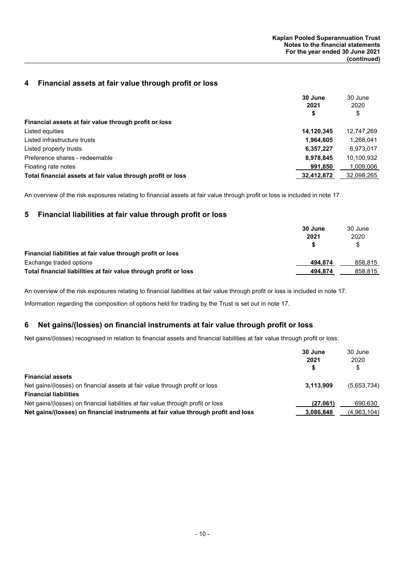## **4 Financial assets at fair value through profit or loss**

|                                                             | 30 June    | 30 June    |
|-------------------------------------------------------------|------------|------------|
|                                                             | 2021       | 2020       |
|                                                             | \$         | \$         |
| Financial assets at fair value through profit or loss       |            |            |
| Listed equities                                             | 14,120,345 | 12,747,269 |
| Listed infrastructure trusts                                | 1,964,605  | 1,268,041  |
| Listed property trusts                                      | 6,357,227  | 6,973,017  |
| Preference shares - redeemable                              | 8,978,845  | 10,100,932 |
| Floating rate notes                                         | 991,850    | 1,009,006  |
| Total financial assets at fair value through profit or loss | 32,412,872 | 32,098,265 |

An overview of the risk exposures relating to financial assets at fair value through profit or loss is included in note 17.

## **5 Financial liabilities at fair value through profit or loss**

|                                                                  | 30 June | 30 June |
|------------------------------------------------------------------|---------|---------|
|                                                                  | 2021    | 2020    |
|                                                                  |         | \$      |
| Financial liabilities at fair value through profit or loss       |         |         |
| Exchange traded options                                          | 494.874 | 858.815 |
| Total financial liabilities at fair value through profit or loss | 494.874 | 858.815 |

An overview of the risk exposures relating to financial liabilities at fair value through profit or loss is included in note 17.

Information regarding the composition of options held for trading by the Trust is set out in note 17.

### **6 Net gains/(losses) on financial instruments at fair value through profit or loss**

Net gains/(losses) recognised in relation to financial assets and financial liabilities at fair value through profit or loss:

|                                                                                   | 30 June<br>2021 | 30 June<br>2020 |
|-----------------------------------------------------------------------------------|-----------------|-----------------|
|                                                                                   |                 | \$              |
| <b>Financial assets</b>                                                           |                 |                 |
| Net gains/(losses) on financial assets at fair value through profit or loss       | 3.113.909       | (5,653,734)     |
| <b>Financial liabilities</b>                                                      |                 |                 |
| Net gains/(losses) on financial liabilities at fair value through profit or loss  | (27.061)        | 690.630         |
| Net gains/(losses) on financial instruments at fair value through profit and loss | 3.086.848       | (4,963,104)     |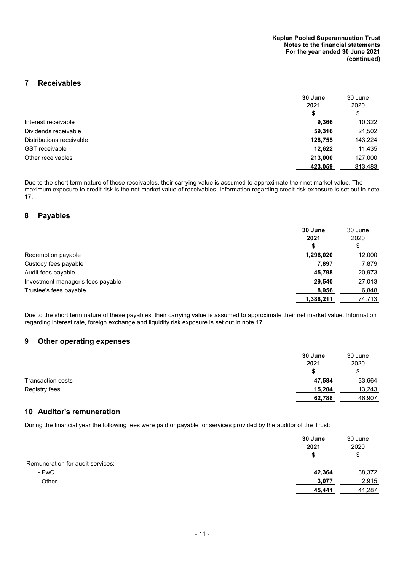## **7 Receivables**

|                          | 30 June | 30 June |
|--------------------------|---------|---------|
|                          | 2021    | 2020    |
|                          | \$      | \$      |
| Interest receivable      | 9,366   | 10,322  |
| Dividends receivable     | 59,316  | 21,502  |
| Distributions receivable | 128,755 | 143,224 |
| <b>GST</b> receivable    | 12.622  | 11,435  |
| Other receivables        | 213,000 | 127,000 |
|                          | 423,059 | 313,483 |

Due to the short term nature of these receivables, their carrying value is assumed to approximate their net market value. The maximum exposure to credit risk is the net market value of receivables. Information regarding credit risk exposure is set out in note 17.

#### **8 Payables**

|                                   | 30 June<br>2021 | 30 June<br>2020 |
|-----------------------------------|-----------------|-----------------|
|                                   | \$              | \$              |
| Redemption payable                | 1,296,020       | 12,000          |
| Custody fees payable              | 7,897           | 7,879           |
| Audit fees payable                | 45,798          | 20,973          |
| Investment manager's fees payable | 29.540          | 27,013          |
| Trustee's fees payable            | 8,956           | 6,848           |
|                                   | 1,388,211       | 74,713          |

Due to the short term nature of these payables, their carrying value is assumed to approximate their net market value. Information regarding interest rate, foreign exchange and liquidity risk exposure is set out in note 17.

### **9 Other operating expenses**

|                   | 30 June | 30 June |
|-------------------|---------|---------|
|                   | 2021    | 2020    |
|                   | S       | \$      |
| Transaction costs | 47,584  | 33,664  |
| Registry fees     | 15,204  | 13,243  |
|                   | 62,788  | 46,907  |

## **10 Auditor's remuneration**

During the financial year the following fees were paid or payable for services provided by the auditor of the Trust:

|                                  | 30 June<br>2021<br>S | 30 June<br>2020<br>\$ |
|----------------------------------|----------------------|-----------------------|
| Remuneration for audit services: |                      |                       |
| - PwC                            | 42,364               | 38,372                |
| - Other                          | 3,077                | 2,915                 |
|                                  | 45,441               | 41,287                |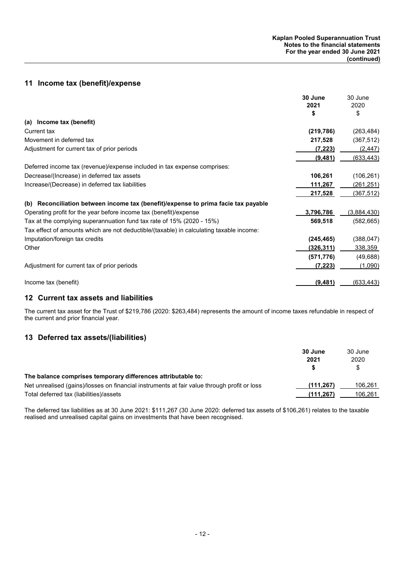## **11 Income tax (benefit)/expense**

|                                                                                         | 30 June    | 30 June          |
|-----------------------------------------------------------------------------------------|------------|------------------|
|                                                                                         | 2021       | 2020             |
|                                                                                         | S          | \$               |
| (a) Income tax (benefit)                                                                |            |                  |
| Current tax                                                                             | (219, 786) | (263, 484)       |
| Movement in deferred tax                                                                | 217,528    | (367, 512)       |
| Adjustment for current tax of prior periods                                             | (7, 223)   | (2, 447)         |
|                                                                                         | (9,481)    | (633, 443)       |
| Deferred income tax (revenue)/expense included in tax expense comprises:                |            |                  |
| Decrease/(Increase) in deferred tax assets                                              | 106,261    | (106, 261)       |
| Increase/(Decrease) in deferred tax liabilities                                         | 111,267    | (261,251)        |
|                                                                                         | 217,528    | (367, 512)       |
| Reconciliation between income tax (benefit)/expense to prima facie tax payable<br>(b)   |            |                  |
| Operating profit for the year before income tax (benefit)/expense                       | 3,796,786  | (3,884,430)      |
| Tax at the complying superannuation fund tax rate of 15% (2020 - 15%)                   | 569,518    | (582, 665)       |
| Tax effect of amounts which are not deductible/(taxable) in calculating taxable income: |            |                  |
| Imputation/foreign tax credits                                                          | (245, 465) | (388, 047)       |
| Other                                                                                   | (326, 311) | 338,359          |
|                                                                                         | (571, 776) | (49, 688)        |
| Adjustment for current tax of prior periods                                             | (7, 223)   | (1,090)          |
| Income tax (benefit)                                                                    | (9, 481)   | <u>(633,443)</u> |

# **12 Current tax assets and liabilities**

The current tax asset for the Trust of \$219,786 (2020: \$263,484) represents the amount of income taxes refundable in respect of the current and prior financial year.

# **13 Deferred tax assets/(liabilities)**

|                                                                                             | 30 June   | 30 June |
|---------------------------------------------------------------------------------------------|-----------|---------|
|                                                                                             | 2021      | 2020    |
|                                                                                             |           | S       |
| The balance comprises temporary differences attributable to:                                |           |         |
| Net unrealised (gains)/losses on financial instruments at fair value through profit or loss | (111.267) | 106.261 |
| Total deferred tax (liabilities)/assets                                                     | (111.267) | 106.261 |

The deferred tax liabilities as at 30 June 2021: \$111,267 (30 June 2020: deferred tax assets of \$106,261) relates to the taxable realised and unrealised capital gains on investments that have been recognised.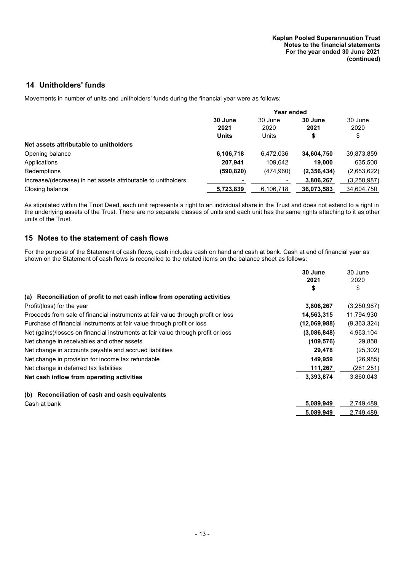## **14 Unitholders' funds**

Movements in number of units and unitholders' funds during the financial year were as follows:

|                                                               | Year ended   |            |             |                 |  |
|---------------------------------------------------------------|--------------|------------|-------------|-----------------|--|
|                                                               | 30 June      | 30 June    | 30 June     | 30 June<br>2020 |  |
|                                                               | 2021         | 2020       | 2021        |                 |  |
|                                                               | <b>Units</b> | Units      |             | \$              |  |
| Net assets attributable to unitholders                        |              |            |             |                 |  |
| Opening balance                                               | 6,106,718    | 6,472,036  | 34,604,750  | 39,873,859      |  |
| Applications                                                  | 207.941      | 109.642    | 19,000      | 635,500         |  |
| Redemptions                                                   | (590, 820)   | (474, 960) | (2,356,434) | (2,653,622)     |  |
| Increase/(decrease) in net assets attributable to unitholders |              |            | 3,806,267   | (3,250,987)     |  |
| Closing balance                                               | 5,723,839    | 6,106,718  | 36,073,583  | 34,604,750      |  |

As stipulated within the Trust Deed, each unit represents a right to an individual share in the Trust and does not extend to a right in the underlying assets of the Trust. There are no separate classes of units and each unit has the same rights attaching to it as other units of the Trust.

### **15 Notes to the statement of cash flows**

For the purpose of the Statement of cash flows, cash includes cash on hand and cash at bank. Cash at end of financial year as shown on the Statement of cash flows is reconciled to the related items on the balance sheet as follows:

|                                                                                  | 30 June      | 30 June     |
|----------------------------------------------------------------------------------|--------------|-------------|
|                                                                                  | 2021         | 2020        |
|                                                                                  | \$           | \$          |
| (a) Reconciliation of profit to net cash inflow from operating activities        |              |             |
| Profit/(loss) for the year                                                       | 3,806,267    | (3,250,987) |
| Proceeds from sale of financial instruments at fair value through profit or loss | 14,563,315   | 11,794,930  |
| Purchase of financial instruments at fair value through profit or loss           | (12,069,988) | (9,363,324) |
| Net (gains)/losses on financial instruments at fair value through profit or loss | (3,086,848)  | 4,963,104   |
| Net change in receivables and other assets                                       | (109,576)    | 29,858      |
| Net change in accounts payable and accrued liabilities                           | 29,478       | (25, 302)   |
| Net change in provision for income tax refundable                                | 149,959      | (26, 985)   |
| Net change in deferred tax liabilities                                           | 111,267      | (261, 251)  |
| Net cash inflow from operating activities                                        | 3,393,874    | 3,860,043   |
| Reconciliation of cash and cash equivalents<br>(b)                               |              |             |
| Cash at bank                                                                     | 5,089,949    | 2,749,489   |
|                                                                                  | 5,089,949    | 2,749,489   |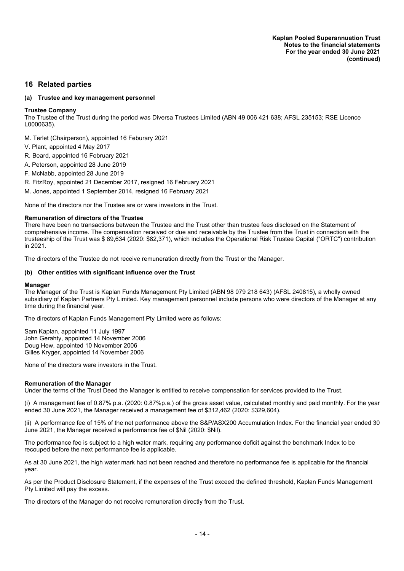### **16 Related parties**

#### **(a) Trustee and key management personnel**

#### **Trustee Company**

The Trustee of the Trust during the period was Diversa Trustees Limited (ABN 49 006 421 638; AFSL 235153; RSE Licence L0000635).

M. Terlet (Chairperson), appointed 16 Feburary 2021

- V. Plant, appointed 4 May 2017
- R. Beard, appointed 16 February 2021
- A. Peterson, appointed 28 June 2019
- F. McNabb, appointed 28 June 2019
- R. FitzRoy, appointed 21 December 2017, resigned 16 February 2021
- M. Jones, appointed 1 September 2014, resigned 16 February 2021

None of the directors nor the Trustee are or were investors in the Trust.

#### **Remuneration of directors of the Trustee**

There have been no transactions between the Trustee and the Trust other than trustee fees disclosed on the Statement of comprehensive income. The compensation received or due and receivable by the Trustee from the Trust in connection with the trusteeship of the Trust was \$ 89,634 (2020: \$82,371), which includes the Operational Risk Trustee Capital ("ORTC") contribution in 2021.

The directors of the Trustee do not receive remuneration directly from the Trust or the Manager.

#### **(b) Other entities with significant influence over the Trust**

#### **Manager**

The Manager of the Trust is Kaplan Funds Management Pty Limited (ABN 98 079 218 643) (AFSL 240815), a wholly owned subsidiary of Kaplan Partners Pty Limited. Key management personnel include persons who were directors of the Manager at any time during the financial year.

The directors of Kaplan Funds Management Pty Limited were as follows:

Sam Kaplan, appointed 11 July 1997 John Gerahty, appointed 14 November 2006 Doug Hew, appointed 10 November 2006 Gilles Kryger, appointed 14 November 2006

None of the directors were investors in the Trust.

#### **Remuneration of the Manager**

Under the terms of the Trust Deed the Manager is entitled to receive compensation for services provided to the Trust.

(i) A management fee of 0.87% p.a. (2020: 0.87%p.a.) of the gross asset value, calculated monthly and paid monthly. For the year ended 30 June 2021, the Manager received a management fee of \$312,462 (2020: \$329,604).

(ii) A performance fee of 15% of the net performance above the S&P/ASX200 Accumulation Index. For the financial year ended 30 June 2021, the Manager received a performance fee of \$Nil (2020: \$Nil).

The performance fee is subject to a high water mark, requiring any performance deficit against the benchmark Index to be recouped before the next performance fee is applicable.

As at 30 June 2021, the high water mark had not been reached and therefore no performance fee is applicable for the financial year.

As per the Product Disclosure Statement, if the expenses of the Trust exceed the defined threshold, Kaplan Funds Management Pty Limited will pay the excess.

The directors of the Manager do not receive remuneration directly from the Trust.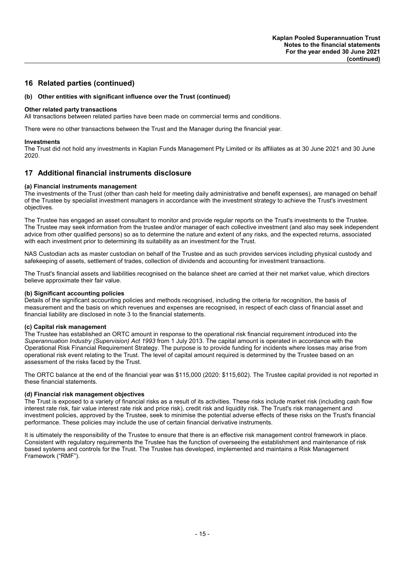### **16 Related parties (continued)**

#### **(b) Other entities with significant influence over the Trust (continued)**

#### **Other related party transactions**

All transactions between related parties have been made on commercial terms and conditions.

There were no other transactions between the Trust and the Manager during the financial year.

#### **Investments**

The Trust did not hold any investments in Kaplan Funds Management Pty Limited or its affiliates as at 30 June 2021 and 30 June 2020.

### **17 Additional financial instruments disclosure**

#### **(a) Financial instruments management**

The investments of the Trust (other than cash held for meeting daily administrative and benefit expenses), are managed on behalf of the Trustee by specialist investment managers in accordance with the investment strategy to achieve the Trust's investment objectives.

The Trustee has engaged an asset consultant to monitor and provide regular reports on the Trust's investments to the Trustee. The Trustee may seek information from the trustee and/or manager of each collective investment (and also may seek independent advice from other qualified persons) so as to determine the nature and extent of any risks, and the expected returns, associated with each investment prior to determining its suitability as an investment for the Trust.

NAS Custodian acts as master custodian on behalf of the Trustee and as such provides services including physical custody and safekeeping of assets, settlement of trades, collection of dividends and accounting for investment transactions.

The Trust's financial assets and liabilities recognised on the balance sheet are carried at their net market value, which directors believe approximate their fair value.

#### **(b) Significant accounting policies**

Details of the significant accounting policies and methods recognised, including the criteria for recognition, the basis of measurement and the basis on which revenues and expenses are recognised, in respect of each class of financial asset and financial liability are disclosed in note 3 to the financial statements.

#### **(c) Capital risk management**

The Trustee has established an ORTC amount in response to the operational risk financial requirement introduced into the *Superannuation Industry (Supervision) Act 1993* from 1 July 2013. The capital amount is operated in accordance with the Operational Risk Financial Requirement Strategy. The purpose is to provide funding for incidents where losses may arise from operational risk event relating to the Trust. The level of capital amount required is determined by the Trustee based on an assessment of the risks faced by the Trust.

The ORTC balance at the end of the financial year was \$115,000 (2020: \$115,602). The Trustee capital provided is not reported in these financial statements.

#### **(d) Financial risk management objectives**

The Trust is exposed to a variety of financial risks as a result of its activities. These risks include market risk (including cash flow interest rate risk, fair value interest rate risk and price risk), credit risk and liquidity risk. The Trust's risk management and investment policies, approved by the Trustee, seek to minimise the potential adverse effects of these risks on the Trust's financial performance. These policies may include the use of certain financial derivative instruments.

It is ultimately the responsibility of the Trustee to ensure that there is an effective risk management control framework in place. Consistent with regulatory requirements the Trustee has the function of overseeing the establishment and maintenance of risk based systems and controls for the Trust. The Trustee has developed, implemented and maintains a Risk Management Framework ("RMF").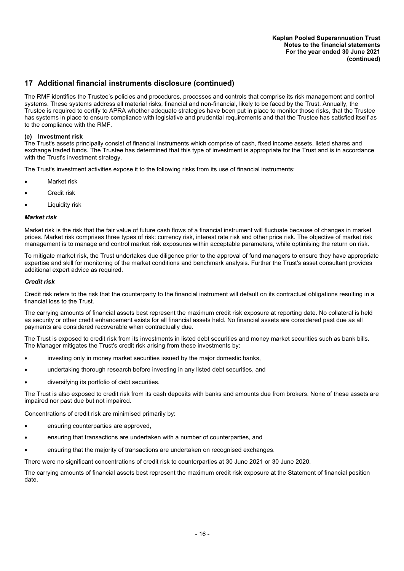The RMF identifies the Trustee's policies and procedures, processes and controls that comprise its risk management and control systems. These systems address all material risks, financial and non-financial, likely to be faced by the Trust. Annually, the Trustee is required to certify to APRA whether adequate strategies have been put in place to monitor those risks, that the Trustee has systems in place to ensure compliance with legislative and prudential requirements and that the Trustee has satisfied itself as to the compliance with the RMF.

#### **(e) Investment risk**

The Trust's assets principally consist of financial instruments which comprise of cash, fixed income assets, listed shares and exchange traded funds. The Trustee has determined that this type of investment is appropriate for the Trust and is in accordance with the Trust's investment strategy.

The Trust's investment activities expose it to the following risks from its use of financial instruments:

- Market risk
- Credit risk
- Liquidity risk

#### *Market risk*

Market risk is the risk that the fair value of future cash flows of a financial instrument will fluctuate because of changes in market prices. Market risk comprises three types of risk: currency risk, interest rate risk and other price risk. The objective of market risk management is to manage and control market risk exposures within acceptable parameters, while optimising the return on risk.

To mitigate market risk, the Trust undertakes due diligence prior to the approval of fund managers to ensure they have appropriate expertise and skill for monitoring of the market conditions and benchmark analysis. Further the Trust's asset consultant provides additional expert advice as required.

#### *Credit risk*

Credit risk refers to the risk that the counterparty to the financial instrument will default on its contractual obligations resulting in a financial loss to the Trust.

The carrying amounts of financial assets best represent the maximum credit risk exposure at reporting date. No collateral is held as security or other credit enhancement exists for all financial assets held. No financial assets are considered past due as all payments are considered recoverable when contractually due.

The Trust is exposed to credit risk from its investments in listed debt securities and money market securities such as bank bills. The Manager mitigates the Trust's credit risk arising from these investments by:

- investing only in money market securities issued by the major domestic banks,
- undertaking thorough research before investing in any listed debt securities, and
- diversifying its portfolio of debt securities.

The Trust is also exposed to credit risk from its cash deposits with banks and amounts due from brokers. None of these assets are impaired nor past due but not impaired.

Concentrations of credit risk are minimised primarily by:

- ensuring counterparties are approved,
- ensuring that transactions are undertaken with a number of counterparties, and
- ensuring that the majority of transactions are undertaken on recognised exchanges.

There were no significant concentrations of credit risk to counterparties at 30 June 2021 or 30 June 2020.

The carrying amounts of financial assets best represent the maximum credit risk exposure at the Statement of financial position date.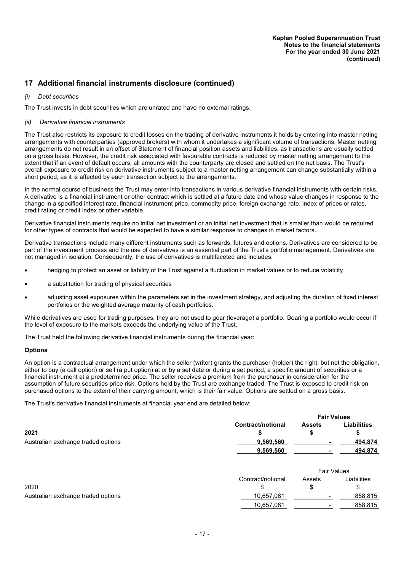#### *(i) Debt securities*

The Trust invests in debt securities which are unrated and have no external ratings.

#### *(ii) Derivative financial instruments*

The Trust also restricts its exposure to credit losses on the trading of derivative instruments it holds by entering into master netting arrangements with counterparties (approved brokers) with whom it undertakes a significant volume of transactions. Master netting arrangements do not result in an offset of Statement of financial position assets and liabilities, as transactions are usually settled on a gross basis. However, the credit risk associated with favourable contracts is reduced by master netting arrangement to the extent that if an event of default occurs, all amounts with the counterparty are closed and settled on the net basis. The Trust's overall exposure to credit risk on derivative instruments subject to a master netting arrangement can change substantially within a short period, as it is affected by each transaction subject to the arrangements.

In the normal course of business the Trust may enter into transactions in various derivative financial instruments with certain risks. A derivative is a financial instrument or other contract which is settled at a future date and whose value changes in response to the change in a specified interest rate, financial instrument price, commodity price, foreign exchange rate, index of prices or rates, credit rating or credit index or other variable.

Derivative financial instruments require no initial net investment or an initial net investment that is smaller than would be required for other types of contracts that would be expected to have a similar response to changes in market factors.

Derivative transactions include many different instruments such as forwards, futures and options. Derivatives are considered to be part of the investment process and the use of derivatives is an essential part of the Trust's portfolio management. Derivatives are not managed in isolation. Consequently, the use of derivatives is multifaceted and includes:

- hedging to protect an asset or liability of the Trust against a fluctuation in market values or to reduce volatility
- a substitution for trading of physical securities
- adjusting asset exposures within the parameters set in the investment strategy, and adjusting the duration of fixed interest portfolios or the weighted average maturity of cash portfolios.

While derivatives are used for trading purposes, they are not used to gear (leverage) a portfolio. Gearing a portfolio would occur if the level of exposure to the markets exceeds the underlying value of the Trust.

The Trust held the following derivative financial instruments during the financial year:

#### **Options**

An option is a contractual arrangement under which the seller (writer) grants the purchaser (holder) the right, but not the obligation, either to buy (a call option) or sell (a put option) at or by a set date or during a set period, a specific amount of securities or a financial instrument at a predetermined price. The seller receives a premium from the purchaser in consideration for the assumption of future securities price risk. Options held by the Trust are exchange traded. The Trust is exposed to credit risk on purchased options to the extent of their carrying amount, which is their fair value. Options are settled on a gross basis.

The Trust's derivative financial instruments at financial year end are detailed below:

|                                    |                   | <b>Fair Values</b> |                    |  |
|------------------------------------|-------------------|--------------------|--------------------|--|
|                                    | Contract/notional | <b>Assets</b>      | <b>Liabilities</b> |  |
| 2021                               |                   | S                  | S                  |  |
| Australian exchange traded options | 9,569,560         | ۰                  | 494,874            |  |
|                                    | 9,569,560         | -                  | 494,874            |  |
|                                    |                   |                    |                    |  |
|                                    |                   |                    | <b>Fair Values</b> |  |

|                                    |                   | . a . a.a.o              |             |  |
|------------------------------------|-------------------|--------------------------|-------------|--|
|                                    | Contract/notional | Assets                   | _iabilities |  |
| 2020                               |                   |                          |             |  |
| Australian exchange traded options | 10,657,081        | $\overline{\phantom{0}}$ | 858.815     |  |
|                                    | 10,657,081        |                          | 858,815     |  |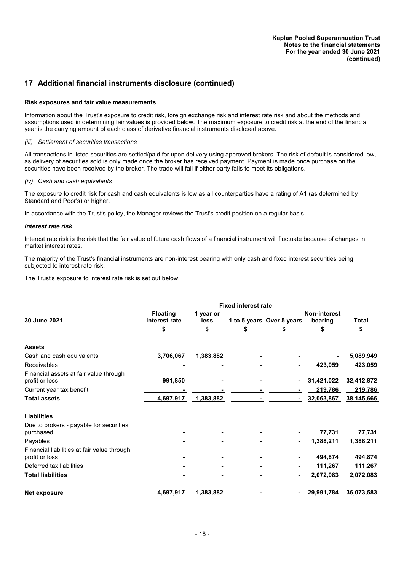#### **Risk exposures and fair value measurements**

Information about the Trust's exposure to credit risk, foreign exchange risk and interest rate risk and about the methods and assumptions used in determining fair values is provided below. The maximum exposure to credit risk at the end of the financial year is the carrying amount of each class of derivative financial instruments disclosed above.

#### *(iii) Settlement of securities transactions*

All transactions in listed securities are settled/paid for upon delivery using approved brokers. The risk of default is considered low, as delivery of securities sold is only made once the broker has received payment. Payment is made once purchase on the securities have been received by the broker. The trade will fail if either party fails to meet its obligations.

#### *(iv) Cash and cash equivalents*

The exposure to credit risk for cash and cash equivalents is low as all counterparties have a rating of A1 (as determined by Standard and Poor's) or higher.

In accordance with the Trust's policy, the Manager reviews the Trust's credit position on a regular basis.

#### *Interest rate risk*

Interest rate risk is the risk that the fair value of future cash flows of a financial instrument will fluctuate because of changes in market interest rates.

The majority of the Trust's financial instruments are non-interest bearing with only cash and fixed interest securities being subjected to interest rate risk.

The Trust's exposure to interest rate risk is set out below.

|                                                               |                              |           | <b>Fixed interest rate</b> |                           |            |            |
|---------------------------------------------------------------|------------------------------|-----------|----------------------------|---------------------------|------------|------------|
|                                                               | <b>Floating</b><br>1 year or |           |                            | <b>Non-interest</b>       |            |            |
| 30 June 2021                                                  | interest rate                | less      |                            | 1 to 5 years Over 5 years | bearing    | Total      |
|                                                               | \$                           | \$        | \$                         | \$                        | \$         | \$         |
| <b>Assets</b>                                                 |                              |           |                            |                           |            |            |
| Cash and cash equivalents                                     | 3,706,067                    | 1,383,882 |                            |                           |            | 5,089,949  |
| Receivables                                                   |                              |           |                            |                           | 423,059    | 423,059    |
| Financial assets at fair value through<br>profit or loss      | 991,850                      |           |                            |                           | 31,421,022 | 32,412,872 |
| Current year tax benefit                                      |                              |           |                            |                           | 219,786    | 219,786    |
| <b>Total assets</b>                                           | 4,697,917                    | 1,383,882 |                            |                           | 32,063,867 | 38,145,666 |
| <b>Liabilities</b>                                            |                              |           |                            |                           |            |            |
| Due to brokers - payable for securities                       |                              |           |                            |                           |            |            |
| purchased                                                     |                              |           |                            |                           | 77,731     | 77,731     |
| Payables                                                      |                              |           |                            |                           | 1,388,211  | 1,388,211  |
| Financial liabilities at fair value through<br>profit or loss |                              |           |                            |                           | 494,874    | 494,874    |
| Deferred tax liabilities                                      |                              |           |                            |                           | 111,267    | 111,267    |
| <b>Total liabilities</b>                                      |                              |           |                            |                           | 2,072,083  | 2,072,083  |
| Net exposure                                                  | 4,697,917                    | 1,383,882 |                            |                           | 29,991,784 | 36,073,583 |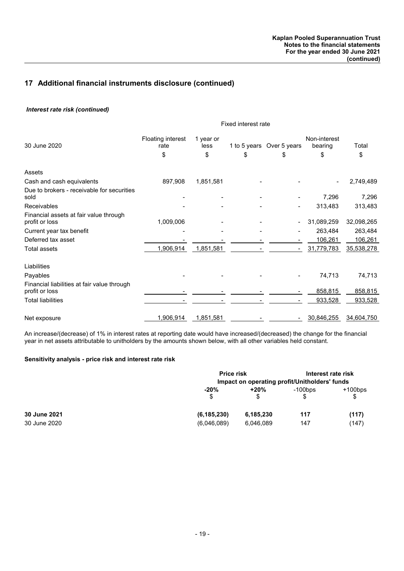### *Interest rate risk (continued)*

|                                                               | Fixed interest rate                    |                         |    |                                |                               |             |
|---------------------------------------------------------------|----------------------------------------|-------------------------|----|--------------------------------|-------------------------------|-------------|
| 30 June 2020                                                  | <b>Floating interest</b><br>rate<br>\$ | 1 year or<br>less<br>\$ | \$ | 1 to 5 years Over 5 years<br>S | Non-interest<br>bearing<br>\$ | Total<br>\$ |
| Assets                                                        |                                        |                         |    |                                |                               |             |
| Cash and cash equivalents                                     | 897,908                                | 1,851,581               |    |                                |                               | 2,749,489   |
| Due to brokers - receivable for securities<br>sold            |                                        |                         |    |                                | 7,296                         | 7,296       |
| Receivables                                                   |                                        |                         |    |                                | 313,483                       | 313,483     |
| Financial assets at fair value through<br>profit or loss      | 1,009,006                              |                         |    |                                | 31,089,259                    | 32,098,265  |
| Current year tax benefit                                      |                                        |                         |    |                                | 263,484                       | 263,484     |
| Deferred tax asset                                            |                                        |                         |    |                                | 106,261                       | 106,261     |
| Total assets                                                  | 1,906,914                              | 1,851,581               |    |                                | 31,779,783                    | 35,538,278  |
| Liabilities                                                   |                                        |                         |    |                                |                               |             |
| Payables                                                      |                                        |                         |    |                                | 74,713                        | 74,713      |
| Financial liabilities at fair value through<br>profit or loss |                                        |                         |    |                                | 858,815                       | 858,815     |
| Total liabilities                                             |                                        |                         |    |                                | 933,528                       | 933,528     |
| Net exposure                                                  | 1,906,914                              | 1,851,581               |    |                                | 30,846,255                    | 34,604,750  |

An increase/(decrease) of 1% in interest rates at reporting date would have increased/(decreased) the change for the financial year in net assets attributable to unitholders by the amounts shown below, with all other variables held constant.

#### **Sensitivity analysis - price risk and interest rate risk**

|              |               | <b>Price risk</b> |            | Interest rate risk<br>Impact on operating profit/Unitholders' funds |  |
|--------------|---------------|-------------------|------------|---------------------------------------------------------------------|--|
|              | $-20%$        | +20%              | $-100$ bps | $+100$ bps                                                          |  |
|              | \$            | S                 |            | S                                                                   |  |
| 30 June 2021 | (6, 185, 230) | 6,185,230         | 117        | (117)                                                               |  |
| 30 June 2020 | (6,046,089)   | 6,046,089         | 147        | (147)                                                               |  |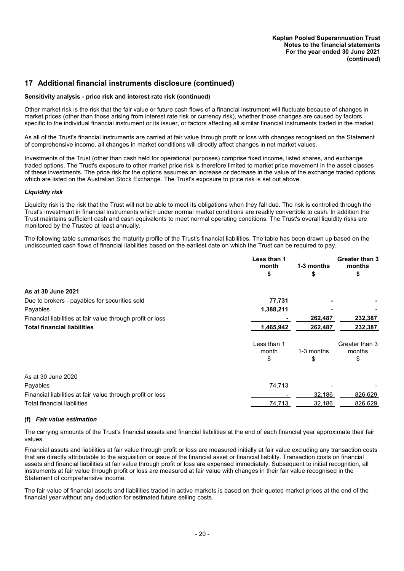#### **Sensitivity analysis - price risk and interest rate risk (continued)**

Other market risk is the risk that the fair value or future cash flows of a financial instrument will fluctuate because of changes in market prices (other than those arising from interest rate risk or currency risk), whether those changes are caused by factors specific to the individual financial instrument or its issuer, or factors affecting all similar financial instruments traded in the market.

As all of the Trust's financial instruments are carried at fair value through profit or loss with changes recognised on the Statement of comprehensive income, all changes in market conditions will directly affect changes in net market values.

Investments of the Trust (other than cash held for operational purposes) comprise fixed income, listed shares, and exchange traded options. The Trust's exposure to other market price risk is therefore limited to market price movement in the asset classes of these investments. The price risk for the options assumes an increase or decrease in the value of the exchange traded options which are listed on the Australian Stock Exchange. The Trust's exposure to price risk is set out above.

#### *Liquidity risk*

Liquidity risk is the risk that the Trust will not be able to meet its obligations when they fall due. The risk is controlled through the Trust's investment in financial instruments which under normal market conditions are readily convertible to cash. In addition the Trust maintains sufficient cash and cash equivalents to meet normal operating conditions. The Trust's overall liquidity risks are monitored by the Trustee at least annually.

The following table summarises the maturity profile of the Trust's financial liabilities. The table has been drawn up based on the undiscounted cash flows of financial liabilities based on the earliest date on which the Trust can be required to pay.

|                                                            | Less than 1<br>month<br>\$ | 1-3 months<br>\$ | <b>Greater than 3</b><br>months<br>\$ |
|------------------------------------------------------------|----------------------------|------------------|---------------------------------------|
|                                                            |                            |                  |                                       |
| As at 30 June 2021                                         |                            |                  |                                       |
| Due to brokers - payables for securities sold              | 77,731                     |                  |                                       |
| Payables                                                   | 1,388,211                  |                  |                                       |
| Financial liabilities at fair value through profit or loss |                            | 262,487          | 232,387                               |
| <b>Total financial liabilities</b>                         | 1,465,942                  | 262,487          | 232,387                               |
|                                                            | Less than 1<br>month       | 1-3 months       | Greater than 3<br>months              |
|                                                            | \$                         | S                | \$                                    |
| As at 30 June 2020                                         |                            |                  |                                       |
| Payables                                                   | 74,713                     |                  |                                       |
| Financial liabilities at fair value through profit or loss |                            | 32,186           | 826,629                               |
| <b>Total financial liabilities</b>                         | 74,713                     | 32,186           | 826,629                               |

#### **(f)** *Fair value estimation*

The carrying amounts of the Trust's financial assets and financial liabilities at the end of each financial year approximate their fair values.

Financial assets and liabilities at fair value through profit or loss are measured initially at fair value excluding any transaction costs that are directly attributable to the acquisition or issue of the financial asset or financial liability. Transaction costs on financial assets and financial liabilities at fair value through profit or loss are expensed immediately. Subsequent to initial recognition, all instruments at fair value through profit or loss are measured at fair value with changes in their fair value recognised in the Statement of comprehensive income.

The fair value of financial assets and liabilities traded in active markets is based on their quoted market prices at the end of the financial year without any deduction for estimated future selling costs.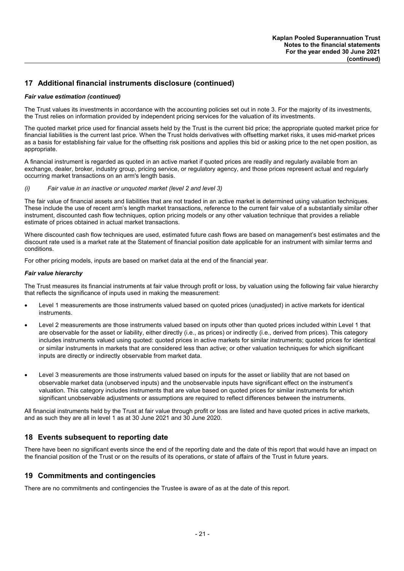#### *Fair value estimation (continued)*

The Trust values its investments in accordance with the accounting policies set out in note 3. For the majority of its investments, the Trust relies on information provided by independent pricing services for the valuation of its investments.

The quoted market price used for financial assets held by the Trust is the current bid price; the appropriate quoted market price for financial liabilities is the current last price. When the Trust holds derivatives with offsetting market risks, it uses mid-market prices as a basis for establishing fair value for the offsetting risk positions and applies this bid or asking price to the net open position, as appropriate.

A financial instrument is regarded as quoted in an active market if quoted prices are readily and regularly available from an exchange, dealer, broker, industry group, pricing service, or regulatory agency, and those prices represent actual and regularly occurring market transactions on an arm's length basis.

#### *(i) Fair value in an inactive or unquoted market (level 2 and level 3)*

The fair value of financial assets and liabilities that are not traded in an active market is determined using valuation techniques. These include the use of recent arm's length market transactions, reference to the current fair value of a substantially similar other instrument, discounted cash flow techniques, option pricing models or any other valuation technique that provides a reliable estimate of prices obtained in actual market transactions.

Where discounted cash flow techniques are used, estimated future cash flows are based on management's best estimates and the discount rate used is a market rate at the Statement of financial position date applicable for an instrument with similar terms and conditions.

For other pricing models, inputs are based on market data at the end of the financial year.

#### *Fair value hierarchy*

The Trust measures its financial instruments at fair value through profit or loss, by valuation using the following fair value hierarchy that reflects the significance of inputs used in making the measurement:

- Level 1 measurements are those instruments valued based on quoted prices (unadjusted) in active markets for identical instruments.
- Level 2 measurements are those instruments valued based on inputs other than quoted prices included within Level 1 that are observable for the asset or liability, either directly (i.e., as prices) or indirectly (i.e., derived from prices). This category includes instruments valued using quoted: quoted prices in active markets for similar instruments; quoted prices for identical or similar instruments in markets that are considered less than active; or other valuation techniques for which significant inputs are directly or indirectly observable from market data.
- Level 3 measurements are those instruments valued based on inputs for the asset or liability that are not based on observable market data (unobserved inputs) and the unobservable inputs have significant effect on the instrument's valuation. This category includes instruments that are value based on quoted prices for similar instruments for which significant unobservable adjustments or assumptions are required to reflect differences between the instruments.

All financial instruments held by the Trust at fair value through profit or loss are listed and have quoted prices in active markets, and as such they are all in level 1 as at 30 June 2021 and 30 June 2020.

### **18 Events subsequent to reporting date**

There have been no significant events since the end of the reporting date and the date of this report that would have an impact on the financial position of the Trust or on the results of its operations, or state of affairs of the Trust in future years.

### **19 Commitments and contingencies**

There are no commitments and contingencies the Trustee is aware of as at the date of this report.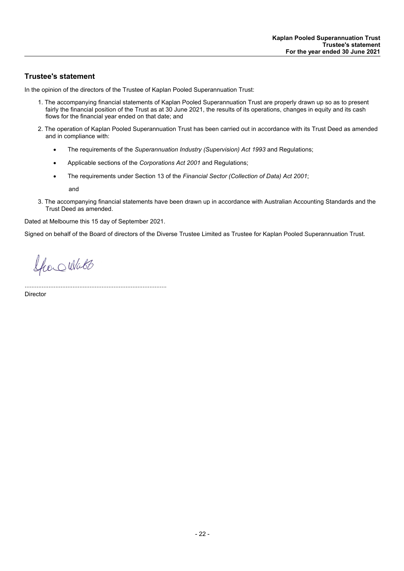# **Trustee's statement**

In the opinion of the directors of the Trustee of Kaplan Pooled Superannuation Trust:

- 1. The accompanying financial statements of Kaplan Pooled Superannuation Trust are properly drawn up so as to present fairly the financial position of the Trust as at 30 June 2021, the results of its operations, changes in equity and its cash flows for the financial year ended on that date; and
- 2. The operation of Kaplan Pooled Superannuation Trust has been carried out in accordance with its Trust Deed as amended and in compliance with:
	- The requirements of the *Superannuation Industry (Supervision) Act 1993* and Regulations;
	- Applicable sections of the *Corporations Act 2001* and Regulations;
	- The requirements under Section 13 of the *Financial Sector (Collection of Data) Act 2001*;

and

3. The accompanying financial statements have been drawn up in accordance with Australian Accounting Standards and the Trust Deed as amended.

Dated at Melbourne this 15 day of September 2021.

Signed on behalf of the Board of directors of the Diverse Trustee Limited as Trustee for Kaplan Pooled Superannuation Trust.

Spor Watt

...................................................................................

Director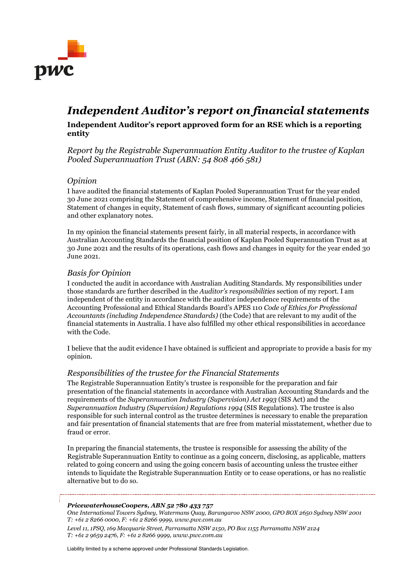

# *Independent Auditor's report on financial statements*

# **Independent Auditor's report approved form for an RSE which is a reporting entity**

*Report by the Registrable Superannuation Entity Auditor to the trustee of Kaplan Pooled Superannuation Trust (ABN: 54 808 466 581)*

# *Opinion*

I have audited the financial statements of Kaplan Pooled Superannuation Trust for the year ended 30 June 2021 comprising the Statement of comprehensive income, Statement of financial position, Statement of changes in equity, Statement of cash flows, summary of significant accounting policies and other explanatory notes.

In my opinion the financial statements present fairly, in all material respects, in accordance with Australian Accounting Standards the financial position of Kaplan Pooled Superannuation Trust as at 30 June 2021 and the results of its operations, cash flows and changes in equity for the year ended 30 June 2021.

# *Basis for Opinion*

I conducted the audit in accordance with Australian Auditing Standards. My responsibilities under those standards are further described in the *Auditor's responsibilities* section of my report. I am independent of the entity in accordance with the auditor independence requirements of the Accounting Professional and Ethical Standards Board's APES 110 *Code of Ethics for Professional Accountants (including Independence Standards)* (the Code) that are relevant to my audit of the financial statements in Australia. I have also fulfilled my other ethical responsibilities in accordance with the Code.

I believe that the audit evidence I have obtained is sufficient and appropriate to provide a basis for my opinion.

# *Responsibilities of the trustee for the Financial Statements*

The Registrable Superannuation Entity's trustee is responsible for the preparation and fair presentation of the financial statements in accordance with Australian Accounting Standards and the requirements of the *Superannuation Industry (Supervision) Act 1993* (SIS Act) and the *Superannuation Industry (Supervision) Regulations 1994* (SIS Regulations). The trustee is also responsible for such internal control as the trustee determines is necessary to enable the preparation and fair presentation of financial statements that are free from material misstatement, whether due to fraud or error.

In preparing the financial statements, the trustee is responsible for assessing the ability of the Registrable Superannuation Entity to continue as a going concern, disclosing, as applicable, matters related to going concern and using the going concern basis of accounting unless the trustee either intends to liquidate the Registrable Superannuation Entity or to cease operations, or has no realistic alternative but to do so.

#### *PricewaterhouseCoopers, ABN 52 780 433 757*

*One International Towers Sydney, Watermans Quay, Barangaroo NSW 2000, GPO BOX 2650 Sydney NSW 2001 T: +61 2 8266 0000, F: +61 2 8266 9999, www.pwc.com.au*

*Level 11, 1PSQ, 169 Macquarie Street, Parramatta NSW 2150, PO Box 1155 Parramatta NSW 2124 T: +61 2 9659 2476, F: +61 2 8266 9999, www.pwc.com.au* 

Liability limited by a scheme approved under Professional Standards Legislation.